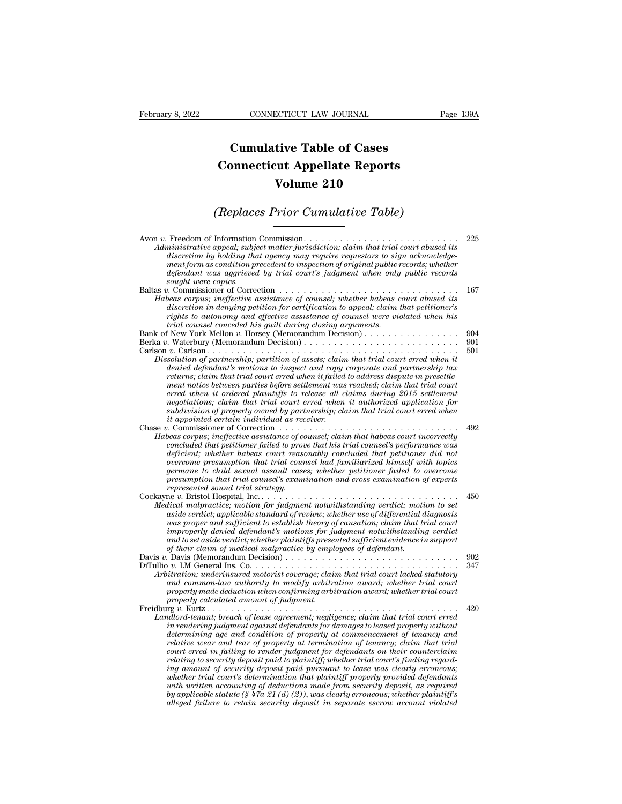## **CONNECTICUT LAW JOURNAL**<br> **Cumulative Table of Cases<br>
pnnecticut Appellate Reports CONNECTICUT LAW JOURNAL** Pag<br> **Cumulative Table of Cases**<br> **Connecticut Appellate Reports<br>
Volume 210 ECTICUT LAW JOURNAL**<br> **Volume 210**<br> **Volume 210**<br> **Volume 210**<br> **Volume 210 Cumulative Table of Cases<br>
Connecticut Appellate Reports<br>
Volume 210<br>
(Replaces Prior Cumulative Table)**<br>
Information Commission

| Volume 210                                                                                                                                                                                                                                                                                                                                                                                                                                                                                                                                                                                                                                                                                                                                                                                                                                                                                                                                     |            |
|------------------------------------------------------------------------------------------------------------------------------------------------------------------------------------------------------------------------------------------------------------------------------------------------------------------------------------------------------------------------------------------------------------------------------------------------------------------------------------------------------------------------------------------------------------------------------------------------------------------------------------------------------------------------------------------------------------------------------------------------------------------------------------------------------------------------------------------------------------------------------------------------------------------------------------------------|------------|
| (Replaces Prior Cumulative Table)                                                                                                                                                                                                                                                                                                                                                                                                                                                                                                                                                                                                                                                                                                                                                                                                                                                                                                              |            |
| Administrative appeal; subject matter jurisdiction; claim that trial court abused its<br>discretion by holding that agency may require requestors to sign acknowledge-<br>ment form as condition precedent to inspection of original public records; whether<br>defendant was aggrieved by trial court's judgment when only public records<br>sought were copies.                                                                                                                                                                                                                                                                                                                                                                                                                                                                                                                                                                              | 225        |
| Habeas corpus; ineffective assistance of counsel; whether habeas court abused its<br>discretion in denying petition for certification to appeal; claim that petitioner's<br>rights to autonomy and effective assistance of counsel were violated when his<br>trial counsel conceded his guilt during closing arguments.                                                                                                                                                                                                                                                                                                                                                                                                                                                                                                                                                                                                                        | 167        |
| Bank of New York Mellon v. Horsey (Memorandum Decision)                                                                                                                                                                                                                                                                                                                                                                                                                                                                                                                                                                                                                                                                                                                                                                                                                                                                                        | 904        |
| Berka v. Waterbury (Memorandum Decision)                                                                                                                                                                                                                                                                                                                                                                                                                                                                                                                                                                                                                                                                                                                                                                                                                                                                                                       | 901        |
| Dissolution of partnership; partition of assets; claim that trial court erred when it<br>denied defendant's motions to inspect and copy corporate and partnership tax<br>returns; claim that trial court erred when it failed to address dispute in presettle-<br>ment notice between parties before settlement was reached; claim that trial court<br>erred when it ordered plaintiffs to release all claims during 2015 settlement<br>negotiations; claim that trial court erred when it authorized application for<br>subdivision of property owned by partnership; claim that trial court erred when<br>it appointed certain individual as receiver.                                                                                                                                                                                                                                                                                       | 501        |
| Chase $v$ . Commissioner of Correction $\ldots \ldots \ldots$<br>Habeas corpus; ineffective assistance of counsel; claim that habeas court incorrectly<br>concluded that petitioner failed to prove that his trial counsel's performance was<br>deficient; whether habeas court reasonably concluded that petitioner did not<br>overcome presumption that trial counsel had familiarized himself with topics<br>germane to child sexual assault cases; whether petitioner failed to overcome<br>presumption that trial counsel's examination and cross-examination of experts<br>represented sound trial strategy.                                                                                                                                                                                                                                                                                                                             | 492        |
| Medical malpractice; motion for judgment notwithstanding verdict; motion to set<br>aside verdict; applicable standard of review; whether use of differential diagnosis<br>was proper and sufficient to establish theory of causation; claim that trial court<br>improperly denied defendant's motions for judgment notwithstanding verdict<br>and to set aside verdict; whether plaintiffs presented sufficient evidence in support<br>of their claim of medical malpractice by employees of defendant.                                                                                                                                                                                                                                                                                                                                                                                                                                        | 450        |
| Arbitration; underinsured motorist coverage; claim that trial court lacked statutory<br>and common-law authority to modify arbitration award; whether trial court<br>properly made deduction when confirming arbitration award; whether trial court<br>properly calculated amount of judgment.                                                                                                                                                                                                                                                                                                                                                                                                                                                                                                                                                                                                                                                 | 902<br>347 |
| Landlord-tenant; breach of lease agreement; negligence; claim that trial court erred<br>in rendering judgment against defendants for damages to leased property without<br>determining age and condition of property at commencement of tenancy and<br>relative wear and tear of property at termination of tenancy; claim that trial<br>court erred in failing to render judgment for defendants on their counterclaim<br>relating to security deposit paid to plaintiff; whether trial court's finding regard-<br>ing amount of security deposit paid pursuant to lease was clearly erroneous;<br>whether trial court's determination that plaintiff properly provided defendants<br>with written accounting of deductions made from security deposit, as required<br>by applicable statute (§ 47a-21 (d) (2)), was clearly erroneous; whether plaintiff's<br>alleged failure to retain security deposit in separate escrow account violated | 420        |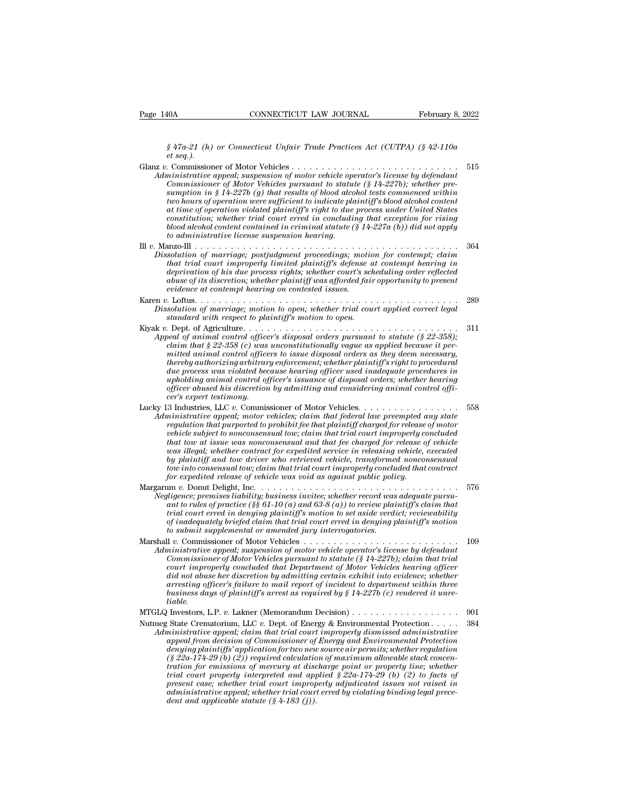*§ 47a-21 (h) or Connecticut Unfair Trade Practices Act (CUTPA) (§ 42-110a et seq.).*

Page 140A CONNECTICUT LAW JOURNAL February 8, 2022<br>  $\oint 47a-21$  (h) or Connecticut Unfair Trade Practices Act (CUTPA) ( $\oint 42-110a$ <br> *et seq.*).<br>
Glanz *v.* Commissioner of Motor Vehicles . . . . . . . . . . . . . . . . . *Administrative appeal; suspension of Motor Vehicles Att (CUTPA) Administrative apq.).*<br> *Administrative appeal; suspension of motor vehicle operator's license by defendant*<br> *Administrative appeal; suspension of motor Commissioner of Motor Vehicles pursuant to statute (§ 14-227b); whether presumption in § 14-227b (g) that results of blood alcohol tests commenced within two hours of operation were sufficient to indicate plaintiff's blood alcohol content at time of operation violated plaintiff's right to due process under United States constitution; whether trial court erred in concluding that exception for rising blood alcohol content contained in criminal statute (§ 14-227a (b)) did not apply Commissioner of Motor Vehicles pursuant to statute (§ 14-227b); whether pre-<br>sumption in § 14-227b (g) that results of blood alcohol tests commenced within<br>two hours of operation were sufficient to indicate plaintiff's bl* Sumption is  $9$  H-227b (g) that results of blood alcohol tests commenced within<br>two hours of operation were sufficient to indicate plaintiff's blood alcohol content<br>at time of operation violated plaintiff's right to due pr *Dissolution is 1-2-2.10 (g) wat results of oblaintigf's blood accolution is the process commenta at time of operation volated plaintiff's right to due process under United States constitution; whether trial court erred in that trial court wire supplied plaintiff's right to due process under United States*<br> *to trial constitution; whether trial court erred in concluding that exception for rising*<br> *blood alcohol content contained in crimina demision, whether trial court erred in concluding that exception for rising*<br>constitution; whether trial court erred in concluding that exception for rising<br>blood alcohol content contained in criminal statute (§ 14-227a ( *abuse of its discretion; whether plaintiff was afforded fair opportunity to present evidence at contempt hearing on contested issues.* Karen *v.* Loftus. . . . . . . . . . . . . . . . . . . . . . . . . . . . . . . . . . . . . . . . . . . . <sup>289</sup> *Dissolution of marriage; postjudgment proceedings; motion for contempt; claim*<br>that trial court improperly limited plaintiff's defense at contempt hearing in<br>deprivation of his due process rights; whether court's scheduli *standard in marriage, postpanyal proceedings, motion to hat trial court improperly limited plaintiff's defense a deprivation of his due process rights; whether court's schabase of its discretion; whether plaintiff was aff* deprivation of his due process rights, whether court's scheduling order reflected<br>abuse of its discretion, whether plaintiff was afforded fair opportunity to present<br>evidence at contempt hearing on contested issues.<br><br>Kiyak *Appear of its discretion, whether plaintiff was afforded fair opportunity to present*<br> *Appear of animal contenpt hearing on contested issues.*<br> *Appear v. Loftus.*<br> *Appear of marriage; motion to open, whether trial cour coidence at contempt hearing on contested issues.*<br> *claim that signally and the constitution of marriage; motion to open, whether trial court applied correct legal standard with respect to plaintiff's motion to open.*<br> *mitted animal control of marriage, motion to open, whether trial court applied correct legal*<br> *mitted and with respect to plaintiff's motion to open.*<br> *mitted animal control officer's disposal orders pursuant to statute thereby authorizing arbitrary enforcement; whether trial court applied correct legal*<br>
standard with respect to plaintiff's motion to open.<br>  $\frac{1}{2}$ . Dept. of Agriculture.<br>  $\frac{1}{2}$ . Dept. of Agriculture.<br>  $\frac{1}{2}$ . *duation of marriage, motion to open, unedier rial court uppied correct legal*<br>tandard with respect to plaintiff's motion to open.<br>  $\therefore$  Dept. of Agriculture.<br>  $\therefore$  and of animal control officer's disposal orders pursuan *upholding animal control officer's disposal orders; whereast of animal control officer's disposal orders pursuant to statute (§ 22-358); elaim that § 22-358 (c) was unconstitutionally vague as applied because it permitted officer abused of animal control officer's disposal orders pursuant to statute (* $\S$  *22-358)*; cleair that  $\S$  22-358 (c) was unconstitutionally vague as applied because it per-claim that  $\S$  22-358 (c) was unconstitution *ceal of animal control officed*<br>*claim that* § 22-358 (c) was<br>*mitted animal control officeer*<br>*thereby authorizing arbitrar*<br>*due process was violated bec*<br>*upholding animal control of*<br>*cer's expert testimony.*<br>3 Indust mitted animal control officers to issue disposal orders as they deem necessary,<br>mitted animal control officers to issue disposal orders as they deem necessary,<br>thereby authorizing arbitrary enforcement; whether plaintiff's *Administrative and control of jieers in case inspectively authorizing arbitrary enforcement; whether plaintiff's right to procedural due process was violated because hearing officer used inadequate procedures in upholding regulation taing and ontain performent, whener purintiff s right to procession and applicar sumpholding animal control officer's issuance of disposal orders; whether hearing officer abused his discretion by admitting and vehicles was counted occurs as in any officer issuance of disposal orders; whether hearing*<br>*vipholing animal control officer's issuance of disposal orders; whether hearing*<br>*officer abused his discretion by admitting and difficer abused his discretion by admitting and considering animal control officer abused his discretion by admitting and considering animal control officer's expert testimony.*<br>
3 Industries, LLC v. Commissioner of Motor *was illegal; whether contract for expedited service in releasing vehicle, executed by plainting*<br> *by plainting*, LLC v. Commissioner of Motor Vehicles.<br> *by initiation appeal, motor vehicles; claim that federal law preempted any state*<br> *regulation that purported to prohibit fee that plaintiff charged towier the commissioner of Motor Vehicles.*<br> *towistrative appeal; motor vehicles; claim that federal law preempted any state* regulation that princypored to probibit fee that plaintiff charged for release of motor vehic *for regulation that purported to prohibit fee that plaintiff charged for release of motor*<br>*vehicle subject to nonconsensual tow; claim that trial court improperly concluded*<br>*that tow at issue was nonconsensual and that vehicle subject to nonconsensual tow; claim that trial court improperly concluded*<br>that tow at issue was nonconsensual and that fee charged for release of vehicle<br>was illegal; whether contract for expedited service in rel *Negligence; premises liability; businessimal and that the charged for release of vehicle*<br>was illegal; whether contract for expedited service in releasing vehicle<br>was illegal; whether contract for expedited service in rel *by plaintiff and tow driver who retrieved vehicle, transformed nonconsensual tow into consensual tow; claim that trial court improperly concluded that contract for expedited release of vehicle was void as against public p trial court courter courter of experiment in the trial service in realising between the plaintiff and tow driver who retrieved vehicle, transformed nonconsensual tow into consensual tow; claim that trial court improperly of patrialy and tow arree and terred in the trial court improperly concluded that contract*<br>for expedited release of vehicle was void as against public policy.<br>Im v. Donut Delight, Inc. . . . . . . . . . . . . . . . . . . *to submit supplemental or amended jury interrogatories.* Marshall *v.* Commissioner of Motor Vehicles . . . . . . . . . . . . . . . . . . . . . . . . . . <sup>109</sup> *Administrative appeal; suspension of motor vehicle operatoric influence; premises liability; business invitee; whether record was adequate pursuant to rules of practice (§§ 61-10 (a) and 63-8 (a)) to review plaintiff's cl Commissioner of Motor Vehicles since, wherear record was adequate pursuant to rules of practice (§§ 61-10 (a) and 63-8 (a)) to review plaintiff's claim that trial court erred in denying plaintiff's motion to set aside ver court erred in denying plaintiff's motion to set aside perdict; reviewability*<br>*court erred in denying plaintiff's motion to set aside verdict; reviewability*<br>of inadequately briefed claim that trial court erred in denyin *did coart erred in denging pairing similarity similarly interior set assige pairing plaintiff's motion*<br>to submit supplemental or amended jury interrogatories.<br>If  $v$ . Commissioner of Motor Vehicles  $\ldots$ ,  $\ldots$ ,  $\ldots$ , *arresting officer's failure to mail report of incident to department within three business days of plaintiff's arrest as required by § 14-227b (c) rendered it unre-*Commissioner of Motor Vehicles pursuant to statute (§ 14-227b); claim that trial<br>court improperly concluded that Department of Motor Vehicles hearing officer<br>did not abuse her discretion by admitting certain exhibit into e

*liable.*

court improperly concluded that Department of Motor Vehicles hearing officer<br>did not abuse her discretion by admitting certain exhibit into evidence; whether<br>arresting officer's failure to mail report of incident to depart *Administrative appeal; claim that trial court improper to find that trial court improperties days of plaintiff's arrest as required by*  $\S 14-227b$  (*c*) *rendered it unreliable.*<br> *Administrative appeal; claim that trial arresting officer's failure to mail report of incident to department within three*<br>*business days of plaintiff's arrest as required by* § 14-227b (c) rendered it unre-<br>*liable.*<br>*I* Investors, L.P. v. Lakner (Memorandum D *denying plaintiffs' application for two new source air permits; whether regulation (§ 22a-174-29 (b) (2)) required calculation of maximum allowable stack concentration for emissions of mercury at discharge point or property line; whether* Find court properly interpreted and properly distribution of the different problem in State Crematorium, LLC v. Dept. of Energy distributions appeal from decision of Commissioner of Energy and Environmental Protection den *present case; whether trial court improperly adjudicated issues not raised in annistrative appeal; claim that trial court improperty assmissed administrative* appeal from decision of Commissioner of Energy and Environmental Protection denying plaintifits' application for two new source air premists *denying plaintiffs' application for two new denying plaintiffs' application for two new d*<br> *(§ 22a-174-29 (b) (2)) required calculation for emissions of mercury at discrial court properly interpreted and app<br>
present cas*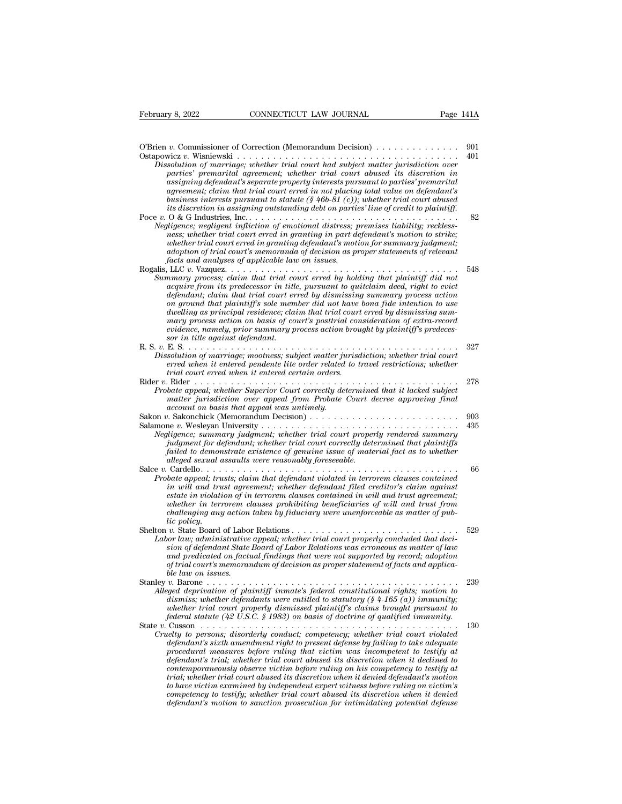| February 8, 2022<br>CONNECTICUT LAW JOURNAL                                                                                                                                                                                                                                                                                                                                                                                                                                                                                                                                                                                                                                                                                                                            | Page 141A                   |
|------------------------------------------------------------------------------------------------------------------------------------------------------------------------------------------------------------------------------------------------------------------------------------------------------------------------------------------------------------------------------------------------------------------------------------------------------------------------------------------------------------------------------------------------------------------------------------------------------------------------------------------------------------------------------------------------------------------------------------------------------------------------|-----------------------------|
| O'Brien v. Commissioner of Correction (Memorandum Decision) $\dots \dots \dots \dots$                                                                                                                                                                                                                                                                                                                                                                                                                                                                                                                                                                                                                                                                                  | 901                         |
| Dissolution of marriage; whether trial court had subject matter jurisdiction over<br>parties' premarital agreement; whether trial court abused its discretion in<br>assigning defendant's separate property interests pursuant to parties' premarital<br>agreement; claim that trial court erred in not placing total value on defendant's<br>business interests pursuant to statute (§ 46b-81 $(c)$ ); whether trial court abused<br>its discretion in assigning outstanding debt on parties' line of credit to plaintiff.                                                                                                                                                                                                                                            | 401                         |
| Negligence; negligent infliction of emotional distress; premises liability; reckless-<br>ness; whether trial court erred in granting in part defendant's motion to strike;<br>whether trial court erred in granting defendant's motion for summary judgment;<br>adoption of trial court's memoranda of decision as proper statements of relevant<br>facts and analyses of applicable law on issues.                                                                                                                                                                                                                                                                                                                                                                    | 82                          |
| Summary process; claim that trial court erred by holding that plaintiff did not<br>acquire from its predecessor in title, pursuant to quitclaim deed, right to evict<br>defendant; claim that trial court erred by dismissing summary process action<br>on ground that plaintiff's sole member did not have bona fide intention to use<br>dwelling as principal residence; claim that trial court erred by dismissing sum-<br>mary process action on basis of court's posttrial consideration of extra-record<br>evidence, namely, prior summary process action brought by plaintiff's predeces-<br>sor in title against defendant.                                                                                                                                    | 548                         |
| Dissolution of marriage; mootness; subject matter jurisdiction; whether trial court<br>erred when it entered pendente lite order related to travel restrictions; whether<br>trial court erred when it entered certain orders.                                                                                                                                                                                                                                                                                                                                                                                                                                                                                                                                          | 327                         |
| Probate appeal; whether Superior Court correctly determined that it lacked subject<br>matter jurisdiction over appeal from Probate Court decree approving final<br>account on basis that appeal was untimely.                                                                                                                                                                                                                                                                                                                                                                                                                                                                                                                                                          | 278                         |
| Negligence; summary judgment; whether trial court properly rendered summary<br>judgment for defendant; whether trial court correctly determined that plaintiffs<br>failed to demonstrate existence of genuine issue of material fact as to whether<br>alleged sexual assaults were reasonably foreseeable.                                                                                                                                                                                                                                                                                                                                                                                                                                                             | 903<br>435                  |
| Probate appeal; trusts; claim that defendant violated in terrorem clauses contained<br>in will and trust agreement; whether defendant filed creditor's claim against<br>estate in violation of in terrorem clauses contained in will and trust agreement;<br>whether in terrorem clauses prohibiting beneficiaries of will and trust from<br>challenging any action taken by fiduciary were unenforceable as matter of pub-<br>lic policy.                                                                                                                                                                                                                                                                                                                             | 66                          |
| Labor law; administrative appeal; whether trial court properly concluded that deci-<br>sion of defendant State Board of Labor Relations was erroneous as matter of law<br>and predicated on factual findings that were not supported by record; adoption<br>of trial court's memorandum of decision as proper statement of facts and applica-<br>ble law on issues.                                                                                                                                                                                                                                                                                                                                                                                                    | 529                         |
| Alleged deprivation of plaintiff inmate's federal constitutional rights; motion to<br>dismiss; whether defendants were entitled to statutory (§ 4-165 (a)) immunity;<br>whether trial court properly dismissed plaintiff's claims brought pursuant to<br>federal statute (42 U.S.C. § 1983) on basis of doctrine of qualified immunity.                                                                                                                                                                                                                                                                                                                                                                                                                                | 239<br>$\sim$ $\sim$ $\sim$ |
| Cruelty to persons; disorderly conduct; competency; whether trial court violated<br>defendant's sixth amendment right to present defense by failing to take adequate<br>procedural measures before ruling that victim was incompetent to testify at<br>defendant's trial; whether trial court abused its discretion when it declined to<br>contemporaneously observe victim before ruling on his competency to testify at<br>trial; whether trial court abused its discretion when it denied defendant's motion<br>to have victim examined by independent expert witness before ruling on victim's<br>competency to testify; whether trial court abused its discretion when it denied<br>defendant's motion to sanction prosecution for intimidating potential defense | 130                         |